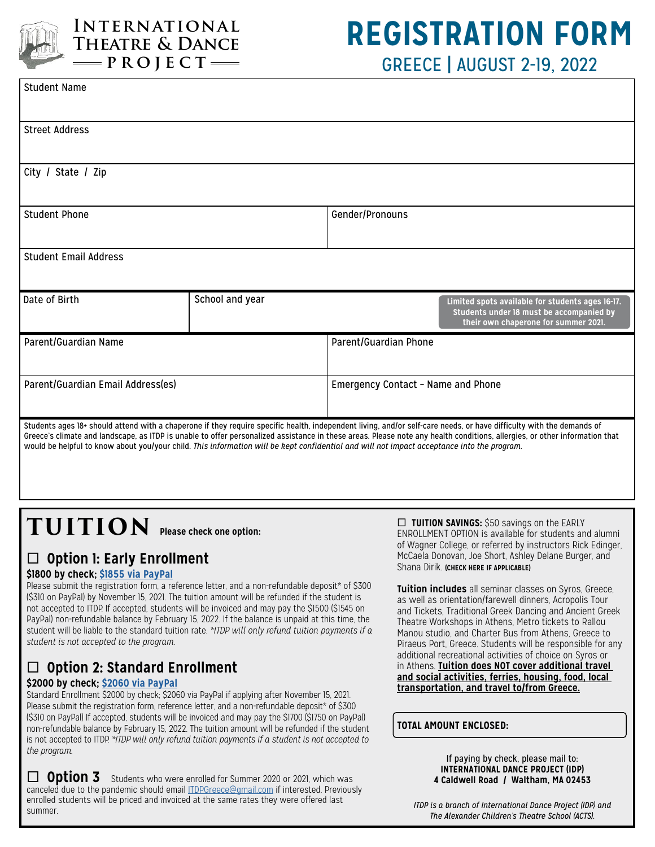

## **International Theatre & Dance**  $\rightharpoonup$ PROJECT $\rightharpoonup$

## **REGISTRATION FORM** GREECE | AUGUST 2-19, 2022

| <b>Student Name</b>                                                                                                                                                                                                                                                                                                                                                                                                                                                                              |                 |                                    |                                                                                                                                      |
|--------------------------------------------------------------------------------------------------------------------------------------------------------------------------------------------------------------------------------------------------------------------------------------------------------------------------------------------------------------------------------------------------------------------------------------------------------------------------------------------------|-----------------|------------------------------------|--------------------------------------------------------------------------------------------------------------------------------------|
| <b>Street Address</b>                                                                                                                                                                                                                                                                                                                                                                                                                                                                            |                 |                                    |                                                                                                                                      |
| City / State / Zip                                                                                                                                                                                                                                                                                                                                                                                                                                                                               |                 |                                    |                                                                                                                                      |
| <b>Student Phone</b>                                                                                                                                                                                                                                                                                                                                                                                                                                                                             |                 | Gender/Pronouns                    |                                                                                                                                      |
| <b>Student Email Address</b>                                                                                                                                                                                                                                                                                                                                                                                                                                                                     |                 |                                    |                                                                                                                                      |
| Date of Birth                                                                                                                                                                                                                                                                                                                                                                                                                                                                                    | School and year |                                    | Limited spots available for students ages 16-17.<br>Students under 18 must be accompanied by<br>their own chaperone for summer 2021. |
| Parent/Guardian Name                                                                                                                                                                                                                                                                                                                                                                                                                                                                             |                 | Parent/Guardian Phone              |                                                                                                                                      |
| Parent/Guardian Email Address(es)                                                                                                                                                                                                                                                                                                                                                                                                                                                                |                 | Emergency Contact - Name and Phone |                                                                                                                                      |
| Students ages 18+ should attend with a chaperone if they require specific health, independent living, and/or self-care needs, or have difficulty with the demands of<br>Greece's climate and landscape, as ITDP is unable to offer personalized assistance in these areas. Please note any health conditions, allergies, or other information that<br>would be helpful to know about you/your child. This information will be kept confidential and will not impact acceptance into the program. |                 |                                    |                                                                                                                                      |

# **TUITION Please check one option:**

## ¨ **Option 1: Early Enrollment**

#### **\$1800 by check; [\\$1855 via PayPal](https://www.powr.io/checkout_screen?unique_label=446a9db0_1600135462)**

Please submit the registration form, a reference letter, and a non-refundable deposit\* of \$300 (\$310 on PayPal) by November 15, 2021. The tuition amount will be refunded if the student is not accepted to ITDP. If accepted, students will be invoiced and may pay the \$1500 (\$1545 on PayPal) non-refundable balance by February 15, 2022. If the balance is unpaid at this time, the student will be liable to the standard tuition rate. *\*ITDP will only refund tuition payments if a student is not accepted to the program.*

## ¨ **Option 2: Standard Enrollment**

#### **\$2000 by check; [\\$2060 via PayPal](https://www.powr.io/checkout_screen?unique_label=446a9db0_1600135462)**

Standard Enrollment \$2000 by check; \$2060 via PayPal if applying after November 15, 2021. Please submit the registration form, reference letter, and a non-refundable deposit\* of \$300 (\$310 on PayPal) If accepted, students will be invoiced and may pay the \$1700 (\$1750 on PayPal) non-refundable balance by February 15, 2022. The tuition amount will be refunded if the student is not accepted to ITDP. *\*ITDP will only refund tuition payments if a student is not accepted to the program.*

**Option 3** Students who were enrolled for Summer 2020 or 2021, which was canceled due to the pandemic should email [ITDPGreece@gmail.com](mailto:ITDPGreece@gmail.com) if interested. Previously enrolled students will be priced and invoiced at the same rates they were offered last summer.

□ **TUITION SAVINGS:** \$50 savings on the EARLY ENROLLMENT OPTION is available for students and alumni of Wagner College, or referred by instructors Rick Edinger, McCaela Donovan, Joe Short, Ashley Delane Burger, and Shana Dirik. **(CHECK HERE IF APPLICABLE)**

**Tuition includes** all seminar classes on Syros, Greece, as well as orientation/farewell dinners, Acropolis Tour and Tickets, Traditional Greek Dancing and Ancient Greek Theatre Workshops in Athens, Metro tickets to Rallou Manou studio, and Charter Bus from Athens, Greece to Piraeus Port, Greece. Students will be responsible for any additional recreational activities of choice on Syros or in Athens. **Tuition does NOT cover additional travel and social activities, ferries, housing, food, local transportation, and travel to/from Greece.**

#### **TOTAL AMOUNT ENCLOSED:**

If paying by check, please mail to: **INTERNATIONAL DANCE PROJECT (IDP) 4 Caldwell Road / Waltham, MA 02453**

*ITDP is a branch of International Dance Project (IDP) and The Alexander Children's Theatre School (ACTS).*